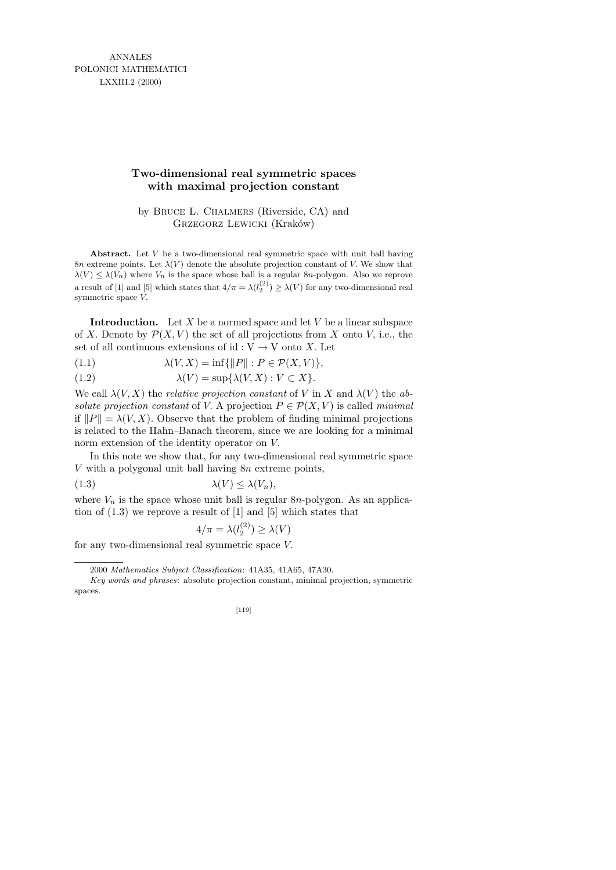ANNALES POLONICI MATHEMATICI LXXIII.2 (2000)

## **Two-dimensional real symmetric spaces with maximal projection constant**

by Bruce L. Chalmers (Riverside, CA) and GRZEGORZ LEWICKI (Kraków)

**Abstract.** Let *V* be a two-dimensional real symmetric space with unit ball having 8*n* extreme points. Let  $\lambda(V)$  denote the absolute projection constant of *V*. We show that  $\lambda(V) \leq \lambda(V_n)$  where  $V_n$  is the space whose ball is a regular 8*n*-polygon. Also we reprove a result of [1] and [5] which states that  $4/\pi = \lambda(l_2^{(2)}) \ge \lambda(V)$  for any two-dimensional real symmetric space *V.*

**Introduction.** Let  $X$  be a normed space and let  $V$  be a linear subspace of X. Denote by  $\mathcal{P}(X, V)$  the set of all projections from X onto V, i.e., the set of all continuous extensions of  $id: V \to V$  onto X. Let

(1.1) 
$$
\lambda(V, X) = \inf \{ ||P|| : P \in \mathcal{P}(X, V) \},
$$

(1.2) 
$$
\lambda(V) = \sup \{ \lambda(V, X) : V \subset X \}.
$$

We call  $\lambda(V, X)$  the *relative projection constant* of V in X and  $\lambda(V)$  the absolute projection constant of V. A projection  $P \in \mathcal{P}(X, V)$  is called minimal if  $||P|| = \lambda(V, X)$ . Observe that the problem of finding minimal projections is related to the Hahn–Banach theorem, since we are looking for a minimal norm extension of the identity operator on V.

In this note we show that, for any two-dimensional real symmetric space V with a polygonal unit ball having 8n extreme points,

$$
\lambda(V) \le \lambda(V_n),
$$

where  $V_n$  is the space whose unit ball is regular 8n-polygon. As an application of (1.3) we reprove a result of [1] and [5] which states that

$$
4/\pi = \lambda(l_2^{(2)}) \ge \lambda(V)
$$

for any two-dimensional real symmetric space V.

*Key words and phrases*: absolute projection constant, minimal projection, symmetric spaces.



<sup>2000</sup> *Mathematics Subject Classification*: 41A35, 41A65, 47A30.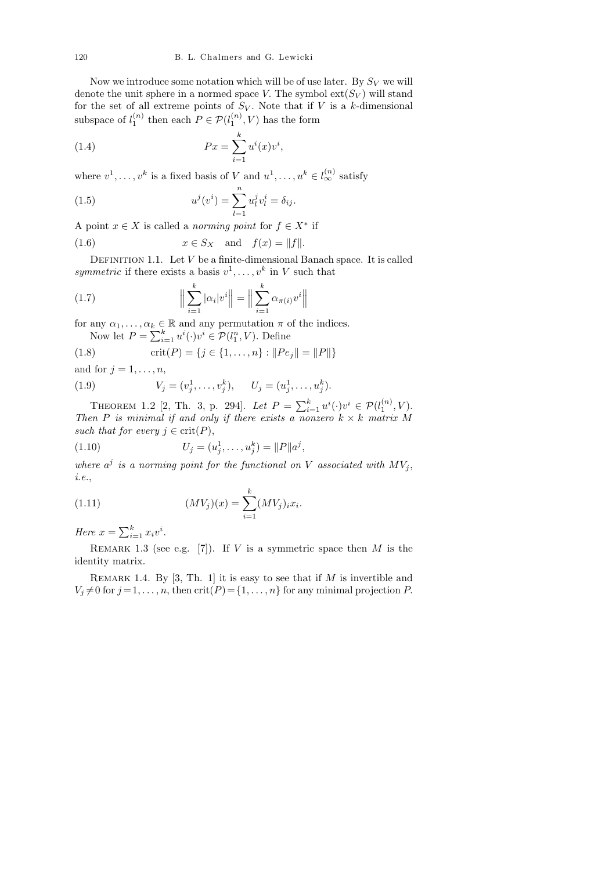Now we introduce some notation which will be of use later. By  $S_V$  we will denote the unit sphere in a normed space V. The symbol  $ext(S_V)$  will stand for the set of all extreme points of  $S_V$ . Note that if V is a k-dimensional subspace of  $l_1^{(n)}$  $\binom{n}{1}$  then each  $P \in \mathcal{P}(l_1^{(n)})$  $\binom{n}{1}$ , V) has the form

(1.4) 
$$
Px = \sum_{i=1}^{k} u^{i}(x)v^{i},
$$

where  $v^1, \ldots, v^k$  is a fixed basis of V and  $u^1, \ldots, u^k \in l_{\infty}^{(n)}$  satisfy

(1.5) 
$$
u^{j}(v^{i}) = \sum_{l=1}^{n} u_{l}^{j} v_{l}^{i} = \delta_{ij}.
$$

A point  $x \in X$  is called a *norming point* for  $f \in X^*$  if

(1.6) 
$$
x \in S_X \quad \text{and} \quad f(x) = ||f||.
$$

DEFINITION 1.1. Let  $V$  be a finite-dimensional Banach space. It is called symmetric if there exists a basis  $v^1, \ldots, v^k$  in V such that

(1.7) 
$$
\left\| \sum_{i=1}^{k} |\alpha_i| v^i \right\| = \left\| \sum_{i=1}^{k} \alpha_{\pi(i)} v^i \right\|
$$

for any  $\alpha_1, \ldots, \alpha_k \in \mathbb{R}$  and any permutation  $\pi$  of the indices.

Now let  $P = \sum_{i=1}^{k} u^{i}(\cdot)v^{i} \in \mathcal{P}(l_1^n, V)$ . Define

(1.8) 
$$
\text{crit}(P) = \{j \in \{1, ..., n\} : ||Pe_j|| = ||P||\}
$$

and for  $j = 1, \ldots, n$ ,

(1.9) 
$$
V_j = (v_j^1, \dots, v_j^k), \qquad U_j = (u_j^1, \dots, u_j^k).
$$

THEOREM 1.2 [2, Th. 3, p. 294]. Let  $P = \sum_{i=1}^{k} u^{i}(\cdot)v^{i} \in \mathcal{P}(l_{1}^{(n)})$  $1^{(n)}, V$ ). Then P is minimal if and only if there exists a nonzero  $k \times k$  matrix M such that for every  $j \in \text{crit}(P)$ ,

(1.10) 
$$
U_j = (u_j^1, \dots, u_j^k) = ||P||a^j,
$$

where  $a^j$  is a norming point for the functional on V associated with  $MV_j$ , i.e.,

(1.11) 
$$
(MV_j)(x) = \sum_{i=1}^{k} (MV_j)_i x_i.
$$

Here  $x = \sum_{i=1}^{k} x_i v^i$ .

REMARK 1.3 (see e.g. [7]). If  $V$  is a symmetric space then  $M$  is the identity matrix.

REMARK 1.4. By [3, Th. 1] it is easy to see that if  $M$  is invertible and  $V_i \neq 0$  for  $j = 1, \ldots, n$ , then  $\text{crit}(P) = \{1, \ldots, n\}$  for any minimal projection P.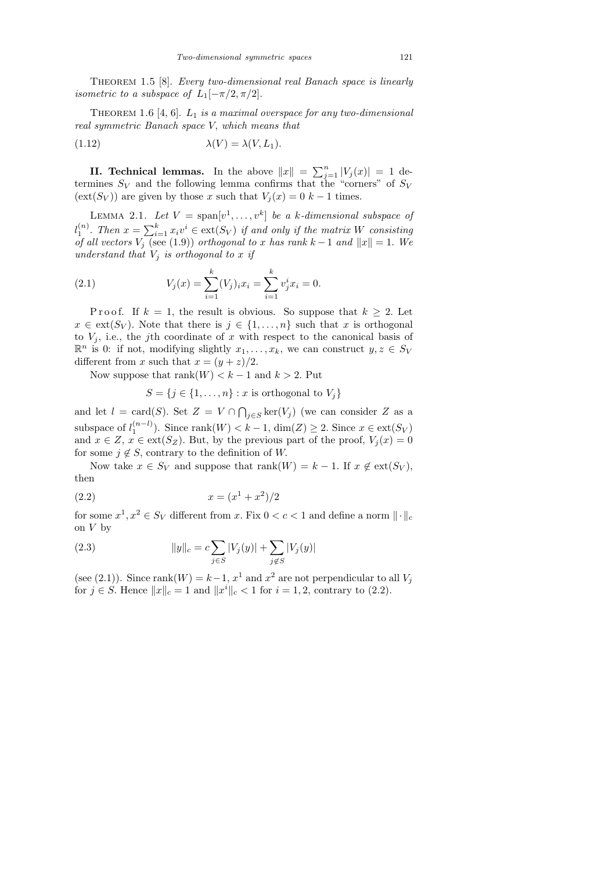THEOREM 1.5 [8]. Every two-dimensional real Banach space is linearly isometric to a subspace of  $L_1[-\pi/2, \pi/2]$ .

THEOREM 1.6 [4, 6].  $L_1$  is a maximal overspace for any two-dimensional real symmetric Banach space V, which means that

(1.12) 
$$
\lambda(V) = \lambda(V, L_1).
$$

**II. Technical lemmas.** In the above  $||x|| = \sum_{j=1}^{n} |V_j(x)| = 1$  determines  $S_V$  and the following lemma confirms that the "corners" of  $S_V$  $(\text{ext}(S_V))$  are given by those x such that  $V_i(x) = 0$  k – 1 times.

LEMMA 2.1. Let  $V = \text{span}[v^1, \dots, v^k]$  be a k-dimensional subspace of  $l_1^{(n)}$  $\sum_{i=1}^{(n)}$ . Then  $x = \sum_{i=1}^{k} x_i v^i \in \text{ext}(S_V)$  if and only if the matrix W consisting of all vectors  $V_j$  (see (1.9)) orthogonal to x has rank  $k-1$  and  $||x|| = 1$ . We understand that  $V_i$  is orthogonal to x if

(2.1) 
$$
V_j(x) = \sum_{i=1}^k (V_j)_i x_i = \sum_{i=1}^k v_j^i x_i = 0.
$$

P r o o f. If  $k = 1$ , the result is obvious. So suppose that  $k \geq 2$ . Let  $x \in \text{ext}(S_V)$ . Note that there is  $j \in \{1, \ldots, n\}$  such that x is orthogonal to  $V_i$ , i.e., the j<sup>th</sup> coordinate of x with respect to the canonical basis of  $\mathbb{R}^n$  is 0: if not, modifying slightly  $x_1, \ldots, x_k$ , we can construct  $y, z \in S_V$ different from x such that  $x = (y + z)/2$ .

Now suppose that  $\text{rank}(W) < k - 1$  and  $k > 2$ . Put

$$
S = \{j \in \{1, \ldots, n\} : x \text{ is orthogonal to } V_j\}
$$

and let  $l = \text{card}(S)$ . Set  $Z = V \cap \bigcap_{j \in S} \text{ker}(V_j)$  (we can consider Z as a subspace of  $l_1^{(n-l)}$  $\binom{n-l}{1}$ . Since rank $(W) < k-1$ , dim $(Z) \geq 2$ . Since  $x \in \text{ext}(S_V)$ and  $x \in Z$ ,  $x \in ext(S_Z)$ . But, by the previous part of the proof,  $V_j(x) = 0$ for some  $j \notin S$ , contrary to the definition of W.

Now take  $x \in S_V$  and suppose that rank $(W) = k - 1$ . If  $x \notin ext(S_V)$ , then

$$
(2.2) \t\t x = (x^1 + x^2)/2
$$

for some  $x^1, x^2 \in S_V$  different from x. Fix  $0 < c < 1$  and define a norm  $\|\cdot\|_c$ on  $V$  by

(2.3) 
$$
||y||_c = c \sum_{j \in S} |V_j(y)| + \sum_{j \notin S} |V_j(y)|
$$

(see (2.1)). Since rank( $W$ ) =  $k-1$ ,  $x^1$  and  $x^2$  are not perpendicular to all  $V_j$ for  $j \in S$ . Hence  $||x||_c = 1$  and  $||x^i||_c < 1$  for  $i = 1, 2$ , contrary to (2.2).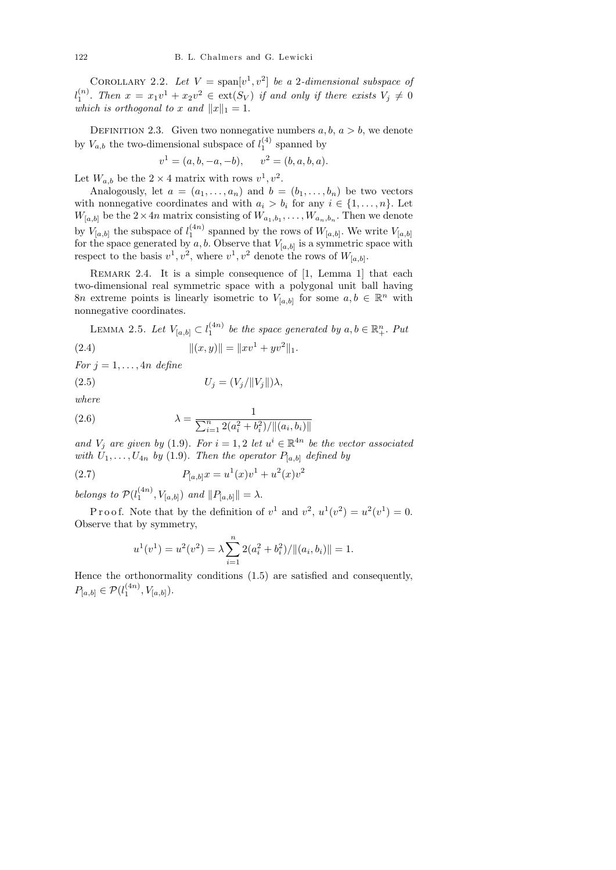COROLLARY 2.2. Let  $V = \text{span}[v^1, v^2]$  be a 2-dimensional subspace of  $l_1^{(n)}$  $\binom{n}{1}$ . Then  $x = x_1v^1 + x_2v^2 \in \text{ext}(S_V)$  if and only if there exists  $V_j \neq 0$ which is orthogonal to x and  $||x||_1 = 1$ .

DEFINITION 2.3. Given two nonnegative numbers  $a, b, a > b$ , we denote by  $V_{a,b}$  the two-dimensional subspace of  $l_1^{(4)}$  $_1^{(4)}$  spanned by

$$
v1 = (a, b, -a, -b),
$$
  $v2 = (b, a, b, a).$ 

Let  $W_{a,b}$  be the  $2 \times 4$  matrix with rows  $v^1, v^2$ .

Analogously, let  $a = (a_1, \ldots, a_n)$  and  $b = (b_1, \ldots, b_n)$  be two vectors with nonnegative coordinates and with  $a_i > b_i$  for any  $i \in \{1, ..., n\}$ . Let  $W_{[a,b]}$  be the  $2 \times 4n$  matrix consisting of  $W_{a_1,b_1}, \ldots, W_{a_n,b_n}$ . Then we denote by  $V_{[a,b]}$  the subspace of  $l_1^{(4n)}$  $\mathcal{U}_1^{(4n)}$  spanned by the rows of  $W_{[a,b]}$ . We write  $V_{[a,b]}$ for the space generated by  $a, b$ . Observe that  $V_{[a,b]}$  is a symmetric space with respect to the basis  $v^1, v^2$ , where  $v^1, v^2$  denote the rows of  $W_{[a,b]}$ .

REMARK 2.4. It is a simple consequence of [1, Lemma 1] that each two-dimensional real symmetric space with a polygonal unit ball having 8n extreme points is linearly isometric to  $V_{[a,b]}$  for some  $a, b \in \mathbb{R}^n$  with nonnegative coordinates.

LEMMA 2.5. Let  $V_{[a,b]} \subset l_1^{(4n)}$  $_1^{(4n)}$  be the space generated by  $a, b \in \mathbb{R}^n_+$ . Put (2.4)  $||(x, y)|| = ||xv^1 + yv^2||_1.$ 

For  $j = 1, \ldots, 4n$  define

$$
(2.5) \t\t\t U_j = (V_j / ||V_j||)\lambda,
$$

where

(2.6) 
$$
\lambda = \frac{1}{\sum_{i=1}^{n} 2(a_i^2 + b_i^2)/\|(a_i, b_i)\|}
$$

and  $V_j$  are given by (1.9). For  $i = 1, 2$  let  $u^i \in \mathbb{R}^{4n}$  be the vector associated with  $U_1, \ldots, U_{4n}$  by (1.9). Then the operator  $P_{[a,b]}$  defined by

(2.7) 
$$
P_{[a,b]}x = u^1(x)v^1 + u^2(x)v^2
$$

belongs to  $\mathcal{P}(l_1^{(4n)})$  $\binom{(4n)}{1}, V_{[a,b]}$  and  $||P_{[a,b]}|| = \lambda$ .

Proof. Note that by the definition of  $v^1$  and  $v^2$ ,  $u^1(v^2) = u^2(v^1) = 0$ . Observe that by symmetry,

$$
u^{1}(v^{1}) = u^{2}(v^{2}) = \lambda \sum_{i=1}^{n} 2(a_{i}^{2} + b_{i}^{2}) / ||(a_{i}, b_{i})|| = 1.
$$

Hence the orthonormality conditions (1.5) are satisfied and consequently,  $P_{[a,b]} \in \mathcal{P}(l_1^{(4n)})$  $1^{(4n)}, V_{[a,b]})$ .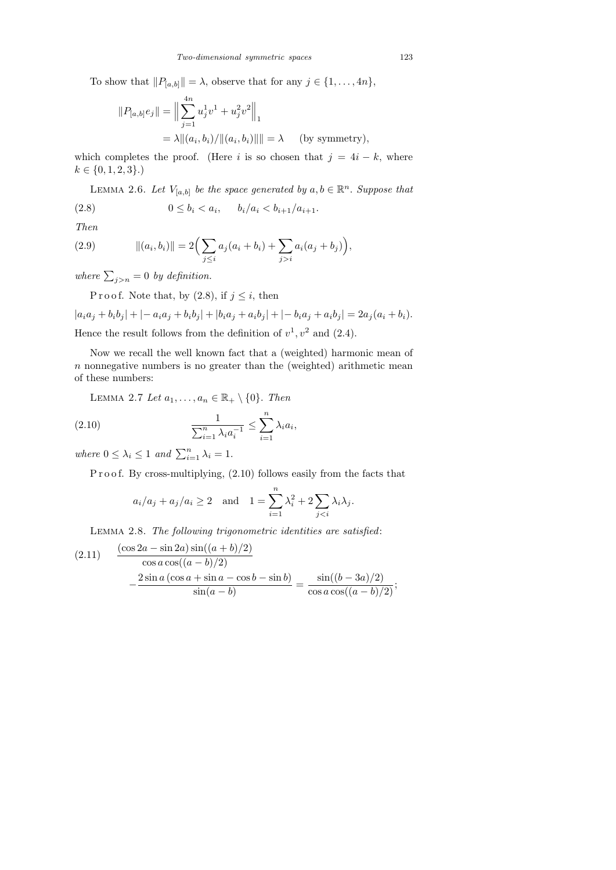To show that  $||P_{[a,b]}|| = \lambda$ , observe that for any  $j \in \{1, \ldots, 4n\}$ ,

$$
||P_{[a,b]}e_j|| = \Big\|\sum_{j=1}^{4n} u_j^1 v^1 + u_j^2 v^2\Big\|_1
$$
  
=  $\lambda ||(a_i, b_i)/||(a_i, b_i)|||| = \lambda$  (by symmetry),

which completes the proof. (Here i is so chosen that  $j = 4i - k$ , where  $k \in \{0, 1, 2, 3\}.$ 

LEMMA 2.6. Let  $V_{[a,b]}$  be the space generated by  $a, b \in \mathbb{R}^n$ . Suppose that

$$
(2.8) \t\t 0 \le b_i < a_i, \t b_i/a_i < b_{i+1}/a_{i+1}.
$$

Then

(2.9) 
$$
\|(a_i, b_i)\| = 2\Big(\sum_{j\leq i} a_j (a_i + b_i) + \sum_{j>i} a_i (a_j + b_j)\Big),
$$

where  $\sum_{j>n} = 0$  by definition.

P r o o f. Note that, by  $(2.8)$ , if  $j \leq i$ , then

 $|a_ia_j + b_ib_j| + |-a_ia_j + b_ib_j| + |b_ia_j + a_ib_j| + |-b_ia_j + a_ib_j| = 2a_j(a_i + b_i).$ Hence the result follows from the definition of  $v^1$ ,  $v^2$  and (2.4).

Now we recall the well known fact that a (weighted) harmonic mean of  $n$  nonnegative numbers is no greater than the (weighted) arithmetic mean of these numbers:

LEMMA 2.7 Let  $a_1, \ldots, a_n \in \mathbb{R}_+ \setminus \{0\}$ . Then

(2.10) 
$$
\frac{1}{\sum_{i=1}^{n} \lambda_i a_i^{-1}} \leq \sum_{i=1}^{n} \lambda_i a_i,
$$

where  $0 \leq \lambda_i \leq 1$  and  $\sum_{i=1}^n \lambda_i = 1$ .

P r o o f. By cross-multiplying,  $(2.10)$  follows easily from the facts that

$$
a_i/a_j + a_j/a_i \ge 2
$$
 and  $1 = \sum_{i=1}^n \lambda_i^2 + 2 \sum_{j.$ 

Lemma 2.8. The following trigonometric identities are satisfied:

(2.11) 
$$
\frac{(\cos 2a - \sin 2a)\sin((a+b)/2)}{\cos a \cos((a-b)/2)} -\frac{2\sin a(\cos a + \sin a - \cos b - \sin b)}{\sin(a-b)} = \frac{\sin((b-3a)/2)}{\cos a \cos((a-b)/2)};
$$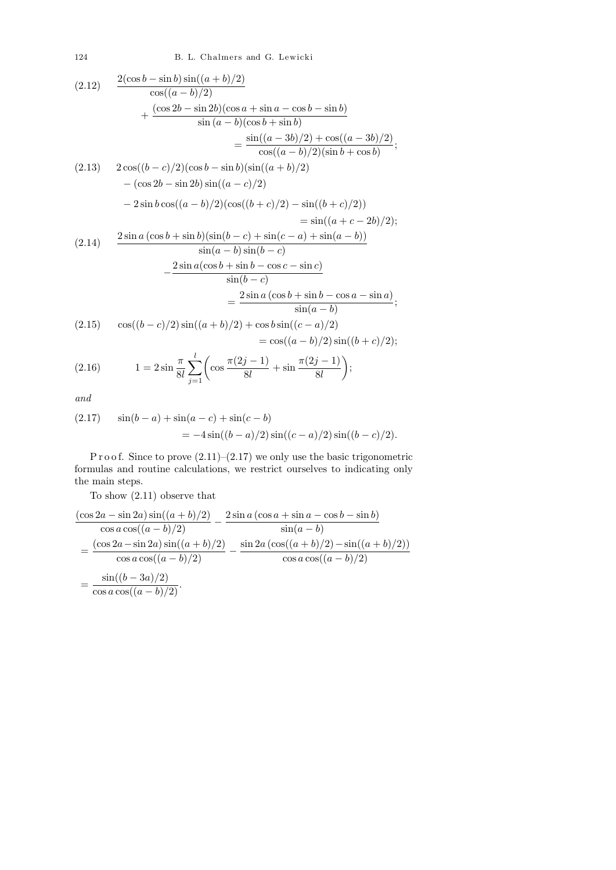124 B. L. Chalmers and G. Lewicki

$$
(2.12) \frac{2(\cos b - \sin b) \sin((a + b)/2)}{\cos((a - b)/2)} \n+ \frac{(\cos 2b - \sin 2b)(\cos a + \sin a - \cos b - \sin b)}{\sin (a - b)(\cos b + \sin b)} \n= \frac{\sin((a - 3b)/2) + \cos((a - 3b)/2)}{\cos((a - b)/2)(\sin b + \cos b)}; \n(2.13) \frac{2 \cos((b - c)/2)(\cos b - \sin b)(\sin((a + b)/2))}{\cos((a - b)/2)(\sin(b + c)/2)} \n- (\cos 2b - \sin 2b) \sin((a - c)/2) \n- 2 \sin b \cos((a - b)/2)(\cos((b + c)/2) - \sin((b + c)/2)) \n= \sin((a + c - 2b)/2); \n(2.14) \frac{2 \sin a (\cos b + \sin b)(\sin(b - c) + \sin(c - a) + \sin(a - b))}{\sin(a - b)\sin(b - c)} \n- \frac{2 \sin a (\cos b + \sin b - \cos c - \sin c)}{\sin(b - c)} \n= \frac{2 \sin a (\cos b + \sin b - \cos a - \sin a)}{\sin(a - b)}; \n(2.15) \cos((b - c)/2) \sin((a + b)/2) + \cos b \sin((c - a)/2) \n= \cos((a - b)/2) \sin((b + c)/2);
$$

(2.16) 
$$
1 = 2\sin\frac{\pi}{8l} \sum_{j=1}^{l} \left(\cos\frac{\pi(2j-1)}{8l} + \sin\frac{\pi(2j-1)}{8l}\right);
$$

and

(2.17) 
$$
\sin(b-a) + \sin(a-c) + \sin(c-b) = -4\sin((b-a)/2)\sin((c-a)/2)\sin((b-c)/2).
$$

P r o o f. Since to prove  $(2.11)$ – $(2.17)$  we only use the basic trigonometric formulas and routine calculations, we restrict ourselves to indicating only the main steps.

To show (2.11) observe that

$$
\frac{(\cos 2a - \sin 2a)\sin((a+b)/2)}{\cos a \cos((a-b)/2)} - \frac{2\sin a(\cos a + \sin a - \cos b - \sin b)}{\sin(a-b)}
$$
  
= 
$$
\frac{(\cos 2a - \sin 2a)\sin((a+b)/2)}{\cos a \cos((a-b)/2)} - \frac{\sin 2a(\cos((a+b)/2) - \sin((a+b)/2))}{\cos a \cos((a-b)/2)}
$$
  
= 
$$
\frac{\sin((b-3a)/2)}{\cos a \cos((a-b)/2)}.
$$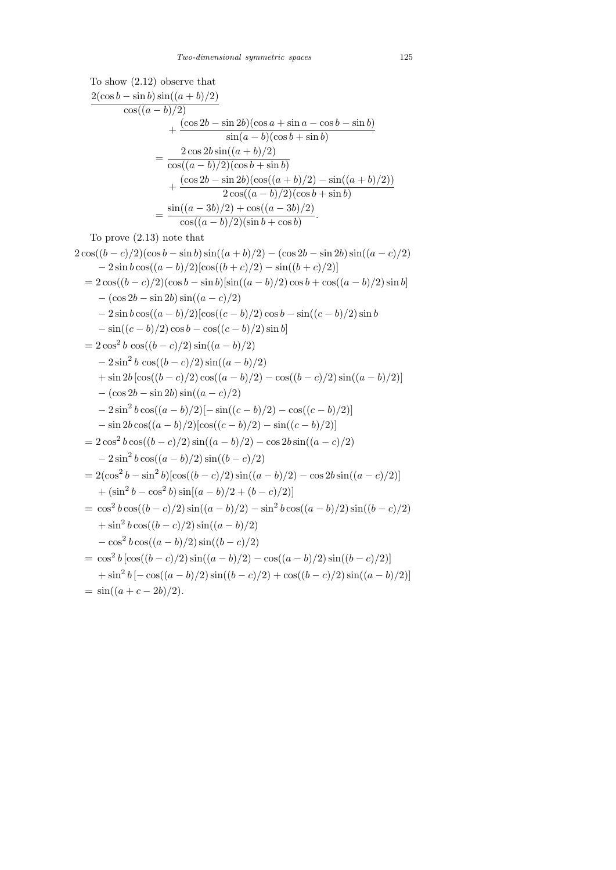To show (2.12) observe that  
\n
$$
\frac{2(\cos b - \sin b) \sin((a + b)/2)}{\cos((a - b)/2)} + \frac{(\cos 2b - \sin 2b)(\cos a + \sin a - \cos b - \sin b)}{\sin(a - b)(\cos b + \sin b)}
$$
\n
$$
= \frac{2 \cos 2b \sin((a + b)/2)}{\cos((a - b)/2)(\cos b + \sin b)} + \frac{(\cos 2b - \sin 2b)(\cos((a + b)/2) - \sin((a + b)/2))}{2 \cos((a - b)/2)(\cos b + \sin b)}
$$
\n
$$
= \frac{\sin((a - 3b)/2) + \cos((a - 3b)/2)}{\cos((a - b)/2)(\sin b + \cos b)}.
$$

To prove (2.13) note that

 $2\cos((b-c)/2)(\cos b - \sin b)\sin((a+b)/2) - (\cos 2b - \sin 2b)\sin((a-c)/2)$  $-2\sin b\cos((a-b)/2)[\cos((b+c)/2)-\sin((b+c)/2)]$  $= 2 \cos((b - c)/2)(\cos b - \sin b)\sin((a - b)/2)\cos b + \cos((a - b)/2)\sin b)$  $-(\cos 2b - \sin 2b) \sin((a - c)/2)$  $-2\sin b\cos((a-b)/2)\cos((c-b)/2)\cos b-\sin((c-b)/2)\sin b$  $-\sin((c - b)/2) \cos b - \cos((c - b)/2) \sin b$  $= 2 \cos^2 b \cos((b - c)/2) \sin((a - b)/2)$  $-2\sin^2 b \cos((b-c)/2)\sin((a-b)/2)$ + sin  $2b [\cos((b-c)/2) \cos((a-b)/2) - \cos((b-c)/2) \sin((a-b)/2)]$  $-(\cos 2b - \sin 2b) \sin((a - c)/2)$  $-2\sin^2 b \cos((a-b)/2)[- \sin((c-b)/2) - \cos((c-b)/2)]$  $-\sin 2b \cos((a-b)/2)[\cos((c-b)/2)-\sin((c-b)/2)]$  $= 2\cos^2 b \cos((b-c)/2) \sin((a-b)/2) - \cos 2b \sin((a-c)/2)$  $-2\sin^2 b \cos((a-b)/2)\sin((b-c)/2)$  $= 2(\cos^2 b - \sin^2 b)[\cos((b-c)/2)\sin((a-b)/2) - \cos 2b\sin((a-c)/2)]$  $+\left(\sin^2 b - \cos^2 b\right) \sin[(a-b)/2 + (b-c)/2)]$  $=$  cos<sup>2</sup>  $b \cos((b-c)/2) \sin((a-b)/2) - \sin^2 b \cos((a-b)/2) \sin((b-c)/2)$  $+\sin^2 b \cos((b-c)/2) \sin((a-b)/2)$  $-\cos^2 b \cos((a-b)/2) \sin((b-c)/2)$  $= \cos^2 b \left[ \cos((b-c)/2) \sin((a-b)/2) - \cos((a-b)/2) \sin((b-c)/2) \right]$  $+\sin^2 b [-\cos((a-b)/2)\sin((b-c)/2)+\cos((b-c)/2)\sin((a-b)/2)]$  $=$  sin((a + c - 2b)/2).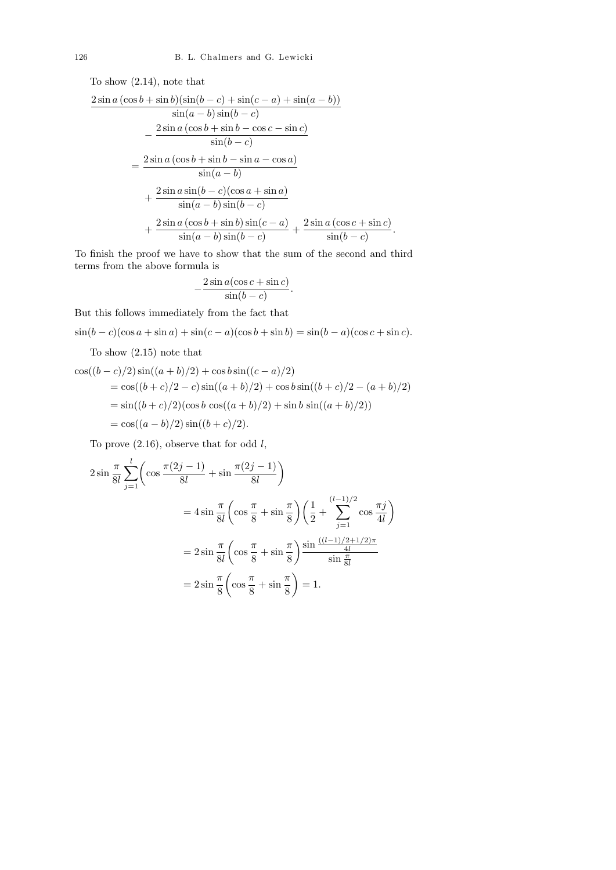To show (2.14), note that

$$
\frac{2 \sin a \left(\cos b + \sin b\right)\left(\sin(b-c) + \sin(c-a) + \sin(a-b)\right)}{\sin(a-b) \sin(b-c)} \n- \frac{2 \sin a \left(\cos b + \sin b - \cos c - \sin c\right)}{\sin(b-c)} \n= \frac{2 \sin a \left(\cos b + \sin b - \sin a - \cos a\right)}{\sin(a-b)} \n+ \frac{2 \sin a \sin(b-c)\left(\cos a + \sin a\right)}{\sin(a-b) \sin(b-c)} \n+ \frac{2 \sin a \left(\cos b + \sin b\right) \sin(c-a)}{\sin(a-b) \sin(b-c)} + \frac{2 \sin a \left(\cos c + \sin c\right)}{\sin(b-c)}.
$$

To finish the proof we have to show that the sum of the second and third terms from the above formula is

$$
\frac{2\sin a(\cos c + \sin c)}{\sin(b - c)}.
$$

But this follows immediately from the fact that

−

$$
\sin(b - c)(\cos a + \sin a) + \sin(c - a)(\cos b + \sin b) = \sin(b - a)(\cos c + \sin c).
$$

To show (2.15) note that

$$
\cos((b-c)/2)\sin((a+b)/2) + \cos b \sin((c-a)/2)
$$
  
=  $\cos((b+c)/2 - c)\sin((a+b)/2) + \cos b \sin((b+c)/2 - (a+b)/2)$   
=  $\sin((b+c)/2)(\cos b \cos((a+b)/2) + \sin b \sin((a+b)/2))$   
=  $\cos((a-b)/2)\sin((b+c)/2)$ .

To prove  $(2.16)$ , observe that for odd  $l$ ,

$$
2\sin\frac{\pi}{8l}\sum_{j=1}^{l} \left(\cos\frac{\pi(2j-1)}{8l} + \sin\frac{\pi(2j-1)}{8l}\right)
$$
  
=  $4\sin\frac{\pi}{8l}\left(\cos\frac{\pi}{8} + \sin\frac{\pi}{8}\right)\left(\frac{1}{2} + \sum_{j=1}^{(l-1)/2} \cos\frac{\pi j}{4l}\right)$   
=  $2\sin\frac{\pi}{8l}\left(\cos\frac{\pi}{8} + \sin\frac{\pi}{8}\right)\frac{\sin\frac{((l-1)/2+1/2)\pi}{4l}}{\sin\frac{\pi}{8l}}$   
=  $2\sin\frac{\pi}{8}\left(\cos\frac{\pi}{8} + \sin\frac{\pi}{8}\right) = 1.$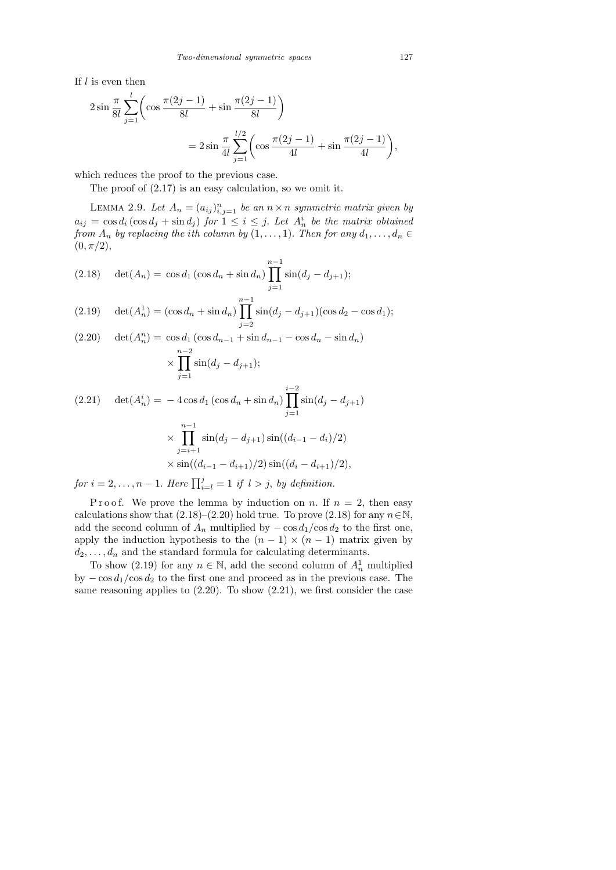If  $l$  is even then

$$
2\sin\frac{\pi}{8l}\sum_{j=1}^{l}\left(\cos\frac{\pi(2j-1)}{8l}+\sin\frac{\pi(2j-1)}{8l}\right)
$$
  
= 
$$
2\sin\frac{\pi}{4l}\sum_{j=1}^{l/2}\left(\cos\frac{\pi(2j-1)}{4l}+\sin\frac{\pi(2j-1)}{4l}\right),
$$

which reduces the proof to the previous case.

The proof of (2.17) is an easy calculation, so we omit it.

LEMMA 2.9. Let  $A_n = (a_{ij})_{i,j=1}^n$  be an  $n \times n$  symmetric matrix given by  $a_{ij} = \cos d_i (\cos d_j + \sin d_j)$  for  $1 \leq i \leq j$ . Let  $A_n^i$  be the matrix obtained from  $A_n$  by replacing the ith column by  $(1, \ldots, 1)$ . Then for any  $d_1, \ldots, d_n \in$  $(0, \pi/2),$ 

(2.18) 
$$
\det(A_n) = \cos d_1 \left(\cos d_n + \sin d_n\right) \prod_{j=1}^{n-1} \sin(d_j - d_{j+1});
$$

(2.19) 
$$
\det(A_n^1) = (\cos d_n + \sin d_n) \prod_{j=2}^{n-1} \sin(d_j - d_{j+1}) (\cos d_2 - \cos d_1);
$$

(2.20) 
$$
\det(A_n^n) = \cos d_1 (\cos d_{n-1} + \sin d_{n-1} - \cos d_n - \sin d_n)
$$

$$
\times \prod_{j=1}^{n-2} \sin(d_j - d_{j+1});
$$

$$
(2.21) \quad \det(A_n^i) = -4\cos d_1(\cos d_n + \sin d_n) \prod_{j=1}^{i-2} \sin(d_j - d_{j+1})
$$

$$
\times \prod_{j=i+1}^{n-1} \sin(d_j - d_{j+1}) \sin((d_{i-1} - d_i)/2)
$$

$$
\times \sin((d_{i-1} - d_{i+1})/2) \sin((d_i - d_{i+1})/2),
$$

for  $i = 2, \ldots, n - 1$ . Here  $\prod_{i=1}^{j} = 1$  if  $l > j$ , by definition.

P r o o f. We prove the lemma by induction on n. If  $n = 2$ , then easy calculations show that  $(2.18)–(2.20)$  hold true. To prove  $(2.18)$  for any  $n \in \mathbb{N}$ , add the second column of  $A_n$  multiplied by  $-\cos d_1/\cos d_2$  to the first one, apply the induction hypothesis to the  $(n - 1) \times (n - 1)$  matrix given by  $d_2, \ldots, d_n$  and the standard formula for calculating determinants.

To show (2.19) for any  $n \in \mathbb{N}$ , add the second column of  $A_n^1$  multiplied by  $-\cos d_1/\cos d_2$  to the first one and proceed as in the previous case. The same reasoning applies to  $(2.20)$ . To show  $(2.21)$ , we first consider the case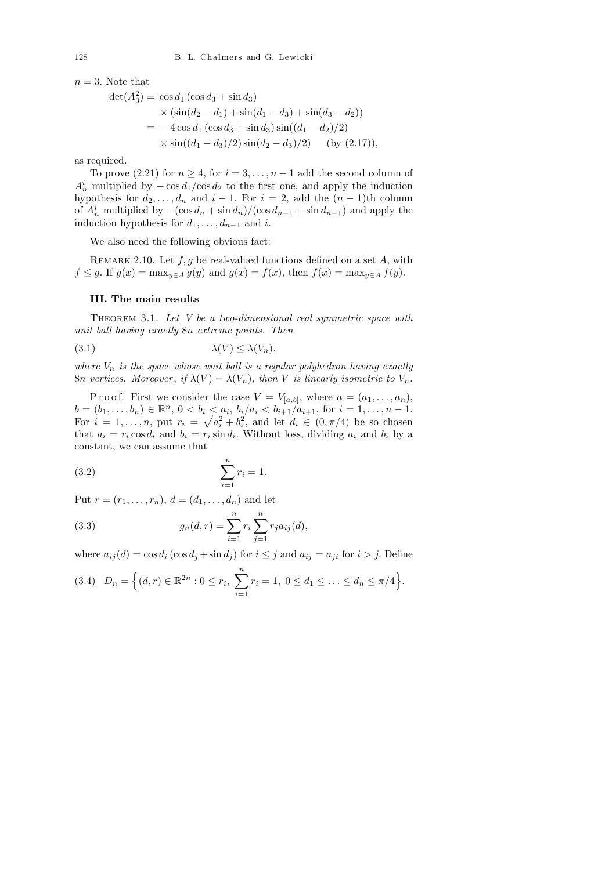$n=3$ . Note that

$$
det(A_3^2) = \cos d_1 (\cos d_3 + \sin d_3)
$$
  
\n
$$
\times (\sin(d_2 - d_1) + \sin(d_1 - d_3) + \sin(d_3 - d_2))
$$
  
\n
$$
= -4 \cos d_1 (\cos d_3 + \sin d_3) \sin((d_1 - d_2)/2)
$$
  
\n
$$
\times \sin((d_1 - d_3)/2) \sin(d_2 - d_3)/2) \text{ (by (2.17))},
$$

as required.

To prove (2.21) for  $n \geq 4$ , for  $i = 3, ..., n - 1$  add the second column of  $A_n^i$  multiplied by  $-\cos d_1/\cos d_2$  to the first one, and apply the induction hypothesis for  $d_2, \ldots, d_n$  and  $i-1$ . For  $i = 2$ , add the  $(n-1)$ th column of  $A_n^i$  multiplied by  $-(\cos d_n + \sin d_n)/(\cos d_{n-1} + \sin d_{n-1})$  and apply the induction hypothesis for  $d_1, \ldots, d_{n-1}$  and i.

We also need the following obvious fact:

REMARK 2.10. Let  $f, g$  be real-valued functions defined on a set  $A$ , with  $f \leq g$ . If  $g(x) = \max_{y \in A} g(y)$  and  $g(x) = f(x)$ , then  $f(x) = \max_{y \in A} f(y)$ .

## III. The main results

THEOREM 3.1. Let  $V$  be a two-dimensional real symmetric space with unit ball having exactly 8n extreme points. Then

$$
\lambda(V) \le \lambda(V_n),
$$

where  $V_n$  is the space whose unit ball is a regular polyhedron having exactly 8n vertices. Moreover, if  $\lambda(V) = \lambda(V_n)$ , then V is linearly isometric to  $V_n$ .

P r o o f. First we consider the case  $V = V_{[a,b]}$ , where  $a = (a_1, \ldots, a_n)$ ,  $b = (b_1, \ldots, b_n) \in \mathbb{R}^n$ ,  $0 < b_i < a_i$ ,  $b_i/a_i < b_{i+1}/a_{i+1}$ , for  $i = 1, \ldots, n-1$ . For  $i = 1, \ldots, n$ , put  $r_i = \sqrt{a_i^2 + b_i^2}$ , and let  $d_i \in (0, \pi/4)$  be so chosen that  $a_i = r_i \cos d_i$  and  $b_i = r_i \sin d_i$ . Without loss, dividing  $a_i$  and  $b_i$  by a constant, we can assume that

(3.2) 
$$
\sum_{i=1}^{n} r_i = 1.
$$

Put  $r = (r_1, ..., r_n), d = (d_1, ..., d_n)$  and let

(3.3) 
$$
g_n(d,r) = \sum_{i=1}^n r_i \sum_{j=1}^n r_j a_{ij}(d),
$$

where  $a_{ij}(d) = \cos d_i (\cos d_j + \sin d_j)$  for  $i \leq j$  and  $a_{ij} = a_{ji}$  for  $i > j$ . Define

$$
(3.4) \quad D_n = \Big\{ (d,r) \in \mathbb{R}^{2n} : 0 \le r_i, \ \sum_{i=1}^n r_i = 1, \ 0 \le d_1 \le \ldots \le d_n \le \pi/4 \Big\}.
$$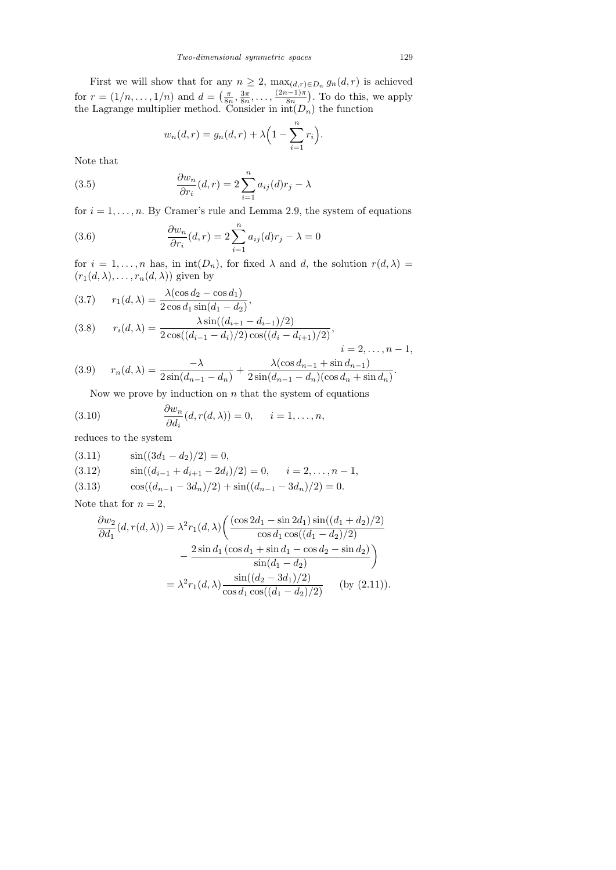First we will show that for any  $n \geq 2$ ,  $\max_{(d,r) \in D_n} g_n(d,r)$  is achieved for  $r = (1/n, \ldots, 1/n)$  and  $d = \left(\frac{\pi}{8r}\right)$  $\frac{\pi}{8n}, \frac{3\pi}{8n}$  $\frac{3\pi}{8n},\ldots,\frac{(2n-1)\pi}{8n}$  $\frac{(n-1)\pi}{8n}$ . To do this, we apply the Lagrange multiplier method. Consider in  $\text{int}(D_n)$  the function

$$
w_n(d,r) = g_n(d,r) + \lambda \Big(1 - \sum_{i=1}^n r_i\Big).
$$

Note that

(3.5) 
$$
\frac{\partial w_n}{\partial r_i}(d,r) = 2 \sum_{i=1}^n a_{ij}(d)r_j - \lambda
$$

for  $i = 1, \ldots, n$ . By Cramer's rule and Lemma 2.9, the system of equations

(3.6) 
$$
\frac{\partial w_n}{\partial r_i}(d,r) = 2 \sum_{i=1}^n a_{ij}(d)r_j - \lambda = 0
$$

for  $i = 1, \ldots, n$  has, in  $int(D_n)$ , for fixed  $\lambda$  and d, the solution  $r(d, \lambda) =$  $(r_1(d, \lambda), \ldots, r_n(d, \lambda))$  given by

(3.7) 
$$
r_1(d,\lambda) = \frac{\lambda(\cos d_2 - \cos d_1)}{2\cos d_1 \sin(d_1 - d_2)},
$$

(3.8) 
$$
r_i(d,\lambda) = \frac{\lambda \sin((d_{i+1} - d_{i-1})/2)}{2 \cos((d_{i-1} - d_i)/2) \cos((d_i - d_{i+1})/2)},
$$
  
 
$$
i = 2,...,n-1,
$$

(3.9) 
$$
r_n(d,\lambda) = \frac{-\lambda}{2\sin(d_{n-1} - d_n)} + \frac{\lambda(\cos d_{n-1} + \sin d_{n-1})}{2\sin(d_{n-1} - d_n)(\cos d_n + \sin d_n)}.
$$

Now we prove by induction on  $n$  that the system of equations

(3.10) 
$$
\frac{\partial w_n}{\partial d_i}(d, r(d, \lambda)) = 0, \quad i = 1, \dots, n,
$$

reduces to the system

(3.11) 
$$
\sin((3d_1 - d_2)/2) = 0,
$$
  
(3.12) 
$$
\sin((d_{i-1} + d_{i+1} - 2d_i)/2) = 0, \quad i = 2, ..., n - 1,
$$
  
(3.13) 
$$
\cos((d_{n-1} - 3d_n)/2) + \sin((d_{n-1} - 3d_n)/2) = 0.
$$

Note that for  $n = 2$ ,

$$
\frac{\partial w_2}{\partial d_1}(d, r(d, \lambda)) = \lambda^2 r_1(d, \lambda) \left( \frac{(\cos 2d_1 - \sin 2d_1) \sin((d_1 + d_2)/2)}{\cos d_1 \cos((d_1 - d_2)/2)} - \frac{2 \sin d_1 (\cos d_1 + \sin d_1 - \cos d_2 - \sin d_2)}{\sin(d_1 - d_2)} \right)
$$

$$
= \lambda^2 r_1(d, \lambda) \frac{\sin((d_2 - 3d_1)/2)}{\cos d_1 \cos((d_1 - d_2)/2)} \quad \text{(by (2.11))}.
$$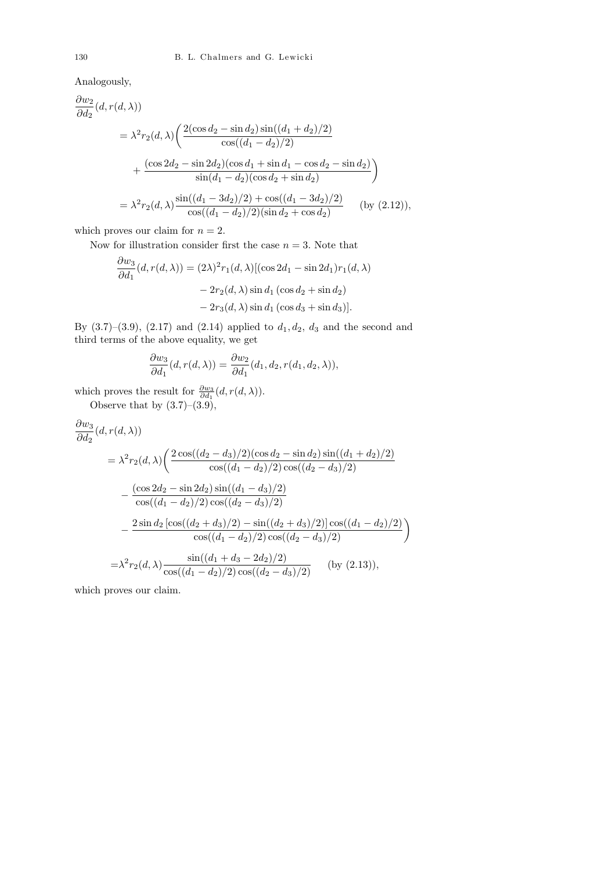Analogously,

$$
\frac{\partial w_2}{\partial d_2}(d, r(d, \lambda))
$$
\n
$$
= \lambda^2 r_2(d, \lambda) \left( \frac{2(\cos d_2 - \sin d_2)\sin((d_1 + d_2)/2)}{\cos((d_1 - d_2)/2)} + \frac{(\cos 2d_2 - \sin 2d_2)(\cos d_1 + \sin d_1 - \cos d_2 - \sin d_2)}{\sin(d_1 - d_2)(\cos d_2 + \sin d_2)} \right)
$$
\n
$$
= \lambda^2 r_2(d, \lambda) \frac{\sin((d_1 - 3d_2)/2) + \cos((d_1 - 3d_2)/2)}{\cos((d_1 - d_2)/2)(\sin d_2 + \cos d_2)} \quad \text{(by (2.12))},
$$

which proves our claim for  $n = 2$ .

Now for illustration consider first the case  $n = 3$ . Note that

$$
\frac{\partial w_3}{\partial d_1}(d, r(d, \lambda)) = (2\lambda)^2 r_1(d, \lambda) [(\cos 2d_1 - \sin 2d_1)r_1(d, \lambda)
$$

$$
- 2r_2(d, \lambda) \sin d_1 (\cos d_2 + \sin d_2)
$$

$$
- 2r_3(d, \lambda) \sin d_1 (\cos d_3 + \sin d_3)].
$$

By  $(3.7)-(3.9)$ ,  $(2.17)$  and  $(2.14)$  applied to  $d_1, d_2, d_3$  and the second and third terms of the above equality, we get

$$
\frac{\partial w_3}{\partial d_1}(d, r(d, \lambda)) = \frac{\partial w_2}{\partial d_1}(d_1, d_2, r(d_1, d_2, \lambda)),
$$

which proves the result for  $\frac{\partial w_3}{\partial d_1}(d, r(d, \lambda)).$ 

Observe that by  $(3.7)$ – $(3.9)$ ,

$$
\frac{\partial w_3}{\partial d_2}(d, r(d, \lambda))
$$
\n
$$
= \lambda^2 r_2(d, \lambda) \left( \frac{2 \cos((d_2 - d_3)/2)(\cos d_2 - \sin d_2) \sin((d_1 + d_2)/2)}{\cos((d_1 - d_2)/2) \cos((d_2 - d_3)/2)} - \frac{(\cos 2d_2 - \sin 2d_2) \sin((d_1 - d_3)/2)}{\cos((d_1 - d_2)/2) \cos((d_2 - d_3)/2)} - \frac{2 \sin d_2 \left[\cos((d_2 + d_3)/2) - \sin((d_2 + d_3)/2)\right] \cos((d_1 - d_2)/2)}{\cos((d_1 - d_2)/2) \cos((d_2 - d_3)/2)} \right)
$$
\n
$$
= \lambda^2 r_2(d, \lambda) \frac{\sin((d_1 + d_3 - 2d_2)/2)}{\cos((d_1 - d_2)/2) \cos((d_2 - d_3)/2)} \quad \text{(by (2.13)),}
$$

which proves our claim.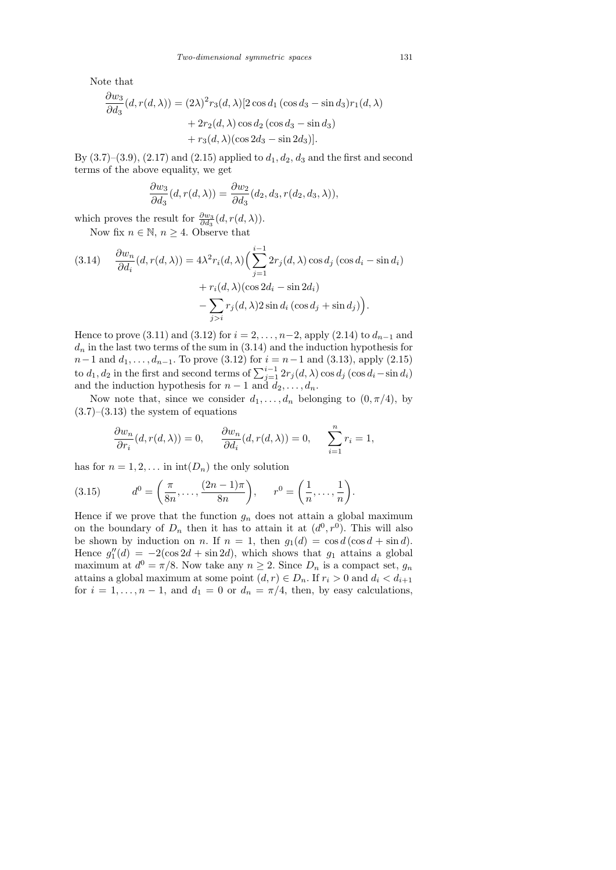Note that

$$
\frac{\partial w_3}{\partial d_3}(d, r(d, \lambda)) = (2\lambda)^2 r_3(d, \lambda) [2 \cos d_1 (\cos d_3 - \sin d_3) r_1(d, \lambda)
$$

$$
+ 2r_2(d, \lambda) \cos d_2 (\cos d_3 - \sin d_3)
$$

$$
+ r_3(d, \lambda) (\cos 2d_3 - \sin 2d_3)].
$$

By  $(3.7)$ – $(3.9)$ ,  $(2.17)$  and  $(2.15)$  applied to  $d_1, d_2, d_3$  and the first and second terms of the above equality, we get

$$
\frac{\partial w_3}{\partial d_3}(d, r(d, \lambda)) = \frac{\partial w_2}{\partial d_3}(d_2, d_3, r(d_2, d_3, \lambda)),
$$

which proves the result for  $\frac{\partial w_3}{\partial d_3}(d, r(d, \lambda)).$ 

Now fix  $n \in \mathbb{N}$ ,  $n \geq 4$ . Observe that

(3.14) 
$$
\frac{\partial w_n}{\partial d_i}(d, r(d, \lambda)) = 4\lambda^2 r_i(d, \lambda) \Big( \sum_{j=1}^{i-1} 2r_j(d, \lambda) \cos d_j \left( \cos d_i - \sin d_i \right) + r_i(d, \lambda) \left( \cos 2d_i - \sin 2d_i \right) - \sum_{j>i} r_j(d, \lambda) 2 \sin d_i \left( \cos d_j + \sin d_j \right) \Big).
$$

Hence to prove (3.11) and (3.12) for  $i = 2, ..., n-2$ , apply (2.14) to  $d_{n-1}$  and  $d_n$  in the last two terms of the sum in  $(3.14)$  and the induction hypothesis for  $n-1$  and  $d_1, \ldots, d_{n-1}$ . To prove (3.12) for  $i = n-1$  and (3.13), apply (2.15) to  $d_1, d_2$  in the first and second terms of  $\sum_{j=1}^{i-1} 2r_j(d, \lambda) \cos d_j (\cos d_i - \sin d_i)$ and the induction hypothesis for  $n-1$  and  $d_2, \ldots, d_n$ .

Now note that, since we consider  $d_1, \ldots, d_n$  belonging to  $(0, \pi/4)$ , by  $(3.7)$ – $(3.13)$  the system of equations

$$
\frac{\partial w_n}{\partial r_i}(d, r(d, \lambda)) = 0, \qquad \frac{\partial w_n}{\partial d_i}(d, r(d, \lambda)) = 0, \qquad \sum_{i=1}^n r_i = 1,
$$

has for  $n = 1, 2, \ldots$  in  $\text{int}(D_n)$  the only solution

(3.15) 
$$
d^{0} = \left(\frac{\pi}{8n}, \dots, \frac{(2n-1)\pi}{8n}\right), \quad r^{0} = \left(\frac{1}{n}, \dots, \frac{1}{n}\right).
$$

Hence if we prove that the function  $g_n$  does not attain a global maximum on the boundary of  $D_n$  then it has to attain it at  $(d^0, r^0)$ . This will also be shown by induction on n. If  $n = 1$ , then  $g_1(d) = \cos d(\cos d + \sin d)$ . Hence  $g_1''(d) = -2(\cos 2d + \sin 2d)$ , which shows that  $g_1$  attains a global maximum at  $d^0 = \pi/8$ . Now take any  $n \geq 2$ . Since  $D_n$  is a compact set,  $g_n$ attains a global maximum at some point  $(d, r) \in D_n$ . If  $r_i > 0$  and  $d_i < d_{i+1}$ for  $i = 1, \ldots, n - 1$ , and  $d_1 = 0$  or  $d_n = \pi/4$ , then, by easy calculations,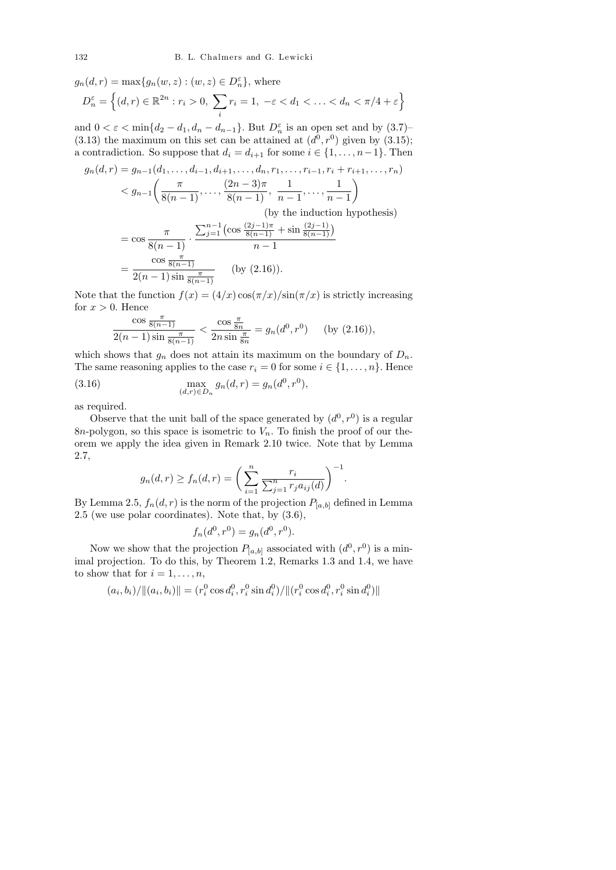$g_n(d,r) = \max\{g_n(w,z) : (w,z) \in D_n^{\varepsilon}\}\,$ , where  $D_n^{\varepsilon} = \left\{ (d, r) \in \mathbb{R}^{2n} : r_i > 0, \sum_{i=1}^{n} \varepsilon_i \right\}$ i  $r_i = 1, -\varepsilon < d_1 < \ldots < d_n < \pi/4 + \varepsilon$ 

and  $0 < \varepsilon < \min\{d_2 - d_1, d_n - d_{n-1}\}\$ . But  $D_n^{\varepsilon}$  is an open set and by  $(3.7)$  $(3.13)$  the maximum on this set can be attained at  $(d<sup>0</sup>, r<sup>0</sup>)$  given by  $(3.15)$ ; a contradiction. So suppose that  $d_i = d_{i+1}$  for some  $i \in \{1, \ldots, n-1\}$ . Then

$$
g_n(d,r) = g_{n-1}(d_1, \dots, d_{i-1}, d_{i+1}, \dots, d_n, r_1, \dots, r_{i-1}, r_i + r_{i+1}, \dots, r_n)
$$
  

$$
< g_{n-1}\left(\frac{\pi}{8(n-1)}, \dots, \frac{(2n-3)\pi}{8(n-1)}, \frac{1}{n-1}, \dots, \frac{1}{n-1}\right)
$$
  
(by the induction hypothesis)  

$$
= \cos \frac{\pi}{8(n-1)} \cdot \frac{\sum_{j=1}^{n-1} \left(\cos \frac{(2j-1)\pi}{8(n-1)} + \sin \frac{(2j-1)}{8(n-1)}\right)}{n-1}
$$
  

$$
= \frac{\cos \frac{\pi}{8(n-1)}}{2(n-1)\sin \frac{\pi}{8(n-1)}} \qquad \text{(by (2.16))}.
$$

Note that the function  $f(x) = (4/x) \cos(\pi/x)/\sin(\pi/x)$  is strictly increasing for  $x > 0$ . Hence

$$
\frac{\cos\frac{\pi}{8(n-1)}}{2(n-1)\sin\frac{\pi}{8(n-1)}} < \frac{\cos\frac{\pi}{8n}}{2n\sin\frac{\pi}{8n}} = g_n(d^0, r^0) \quad \text{(by (2.16))},
$$

which shows that  $g_n$  does not attain its maximum on the boundary of  $D_n$ . The same reasoning applies to the case  $r_i = 0$  for some  $i \in \{1, \ldots, n\}$ . Hence

(3.16) 
$$
\max_{(d,r)\in D_n} g_n(d,r) = g_n(d^0,r^0),
$$

as required.

Observe that the unit ball of the space generated by  $(d^0, r^0)$  is a regular 8n-polygon, so this space is isometric to  $V_n$ . To finish the proof of our theorem we apply the idea given in Remark 2.10 twice. Note that by Lemma 2.7,

$$
g_n(d,r) \ge f_n(d,r) = \left(\sum_{i=1}^n \frac{r_i}{\sum_{j=1}^n r_j a_{ij}(d)}\right)^{-1}.
$$

By Lemma 2.5,  $f_n(d, r)$  is the norm of the projection  $P_{[a,b]}$  defined in Lemma 2.5 (we use polar coordinates). Note that, by (3.6),

$$
f_n(d^0, r^0) = g_n(d^0, r^0).
$$

Now we show that the projection  $P_{[a,b]}$  associated with  $(d^0, r^0)$  is a minimal projection. To do this, by Theorem 1.2, Remarks 1.3 and 1.4, we have to show that for  $i = 1, \ldots, n$ ,

$$
(a_i, b_i) / \|(a_i, b_i)\| = (r_i^0 \cos d_i^0, r_i^0 \sin d_i^0) / \|(r_i^0 \cos d_i^0, r_i^0 \sin d_i^0)\|
$$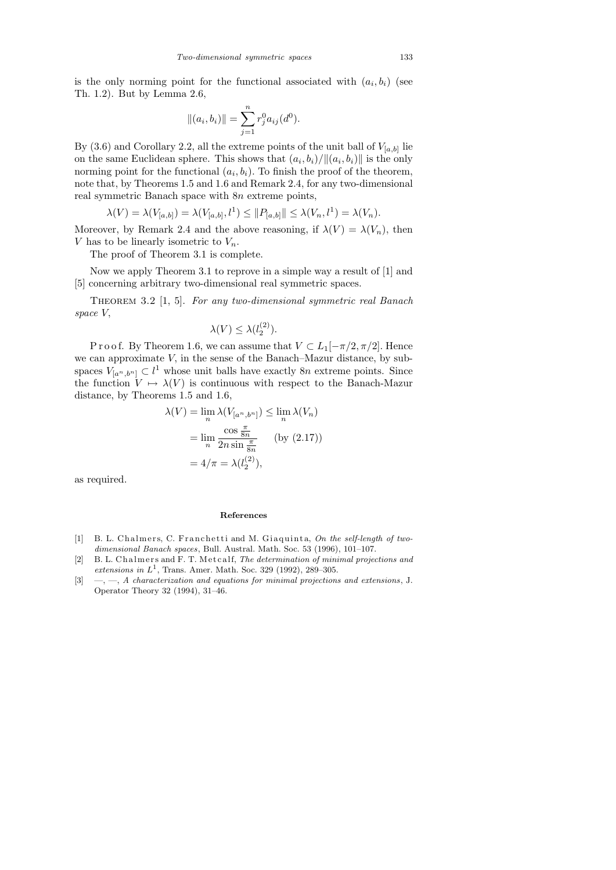is the only norming point for the functional associated with  $(a_i, b_i)$  (see Th. 1.2). But by Lemma 2.6,

$$
||(a_i, b_i)|| = \sum_{j=1}^n r_j^0 a_{ij}(d^0).
$$

By (3.6) and Corollary 2.2, all the extreme points of the unit ball of  $V_{[a,b]}$  lie on the same Euclidean sphere. This shows that  $(a_i, b_i) / ||(a_i, b_i)||$  is the only norming point for the functional  $(a_i, b_i)$ . To finish the proof of the theorem, note that, by Theorems 1.5 and 1.6 and Remark 2.4, for any two-dimensional real symmetric Banach space with 8n extreme points,

$$
\lambda(V) = \lambda(V_{[a,b]}) = \lambda(V_{[a,b]}, l^1) \leq ||P_{[a,b]}|| \leq \lambda(V_n, l^1) = \lambda(V_n).
$$

Moreover, by Remark 2.4 and the above reasoning, if  $\lambda(V) = \lambda(V_n)$ , then V has to be linearly isometric to  $V_n$ .

The proof of Theorem 3.1 is complete.

Now we apply Theorem 3.1 to reprove in a simple way a result of [1] and [5] concerning arbitrary two-dimensional real symmetric spaces.

THEOREM 3.2 [1, 5]. For any two-dimensional symmetric real Banach space V,

$$
\lambda(V) \le \lambda(l_2^{(2)}).
$$

P r o o f. By Theorem 1.6, we can assume that  $V \subset L_1[-\pi/2, \pi/2]$ . Hence we can approximate V, in the sense of the Banach–Mazur distance, by subspaces  $V_{[a^n,b^n]} \subset l^1$  whose unit balls have exactly 8n extreme points. Since the function  $V \mapsto \lambda(V)$  is continuous with respect to the Banach-Mazur distance, by Theorems 1.5 and 1.6,

$$
\lambda(V) = \lim_{n} \lambda(V_{[a^n, b^n]}) \le \lim_{n} \lambda(V_n)
$$

$$
= \lim_{n} \frac{\cos \frac{\pi}{8n}}{2n \sin \frac{\pi}{8n}} \qquad \text{(by (2.17))}
$$

$$
= 4/\pi = \lambda(l_2^{(2)}),
$$

as required.

## **References**

- [1] B. L. Chalmers, C. Franchetti and M. Giaquinta, On the self-length of two*dimensional Banach spaces*, Bull. Austral. Math. Soc. 53 (1996), 101–107.
- [2] B. L. Chalmers and F. T. Metcalf, *The determination of minimal projections and extensions in*  $L^1$ , Trans. Amer. Math. Soc. 329 (1992), 289–305.
- [3] —, —, *A characterization and equations for minimal projections and extensions* , J. Operator Theory 32 (1994), 31–46.